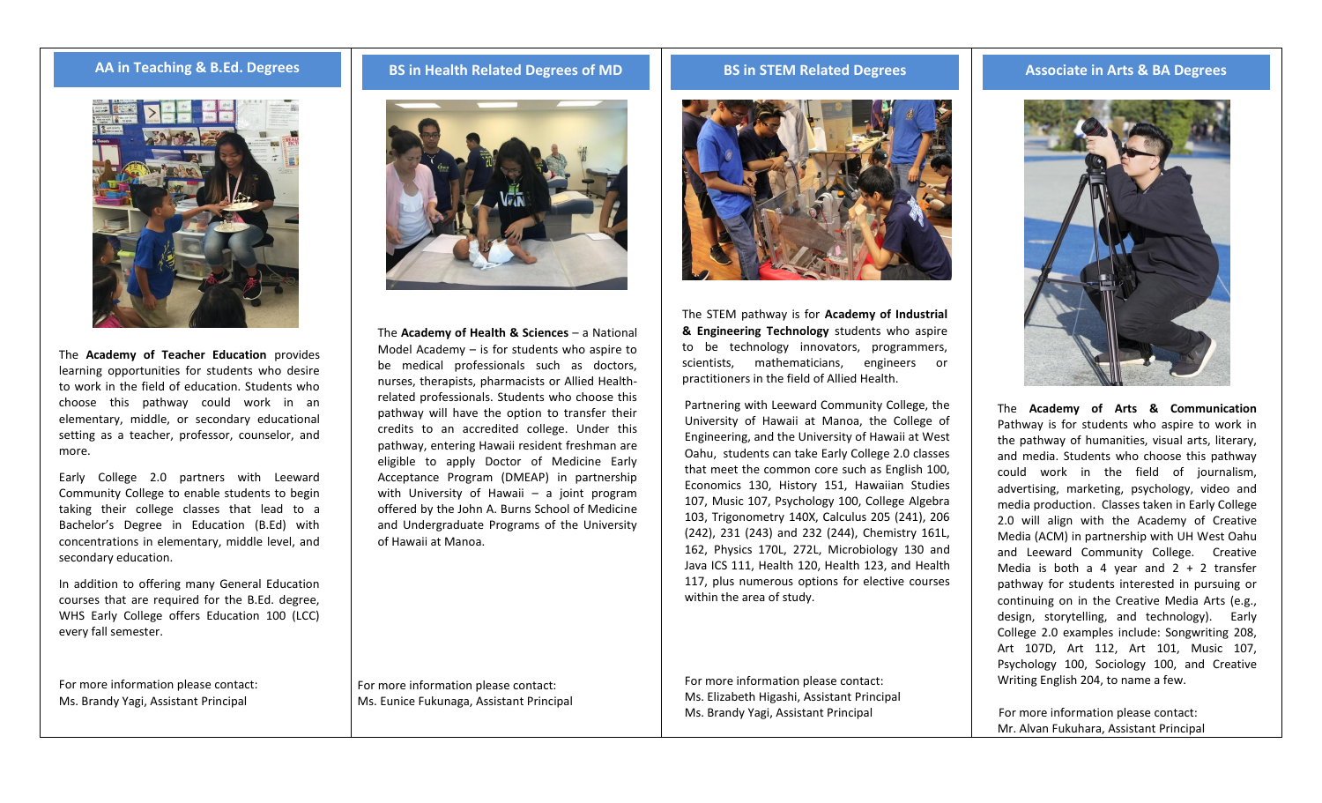

The **Academy of Teacher Education** provides learning opportunities for students who desire to work in the field of education. Students who choose this pathway could work in an elementary, middle, or secondary educational setting as a teacher, professor, counselor, and more.

Early College 2.0 partners with Leeward Community College to enable students to begin taking their college classes that lead to a Bachelor's Degree in Education (B.Ed) with concentrations in elementary, middle level, and secondary education.

In addition to offering many General Education courses that are required for the B.Ed. degree, WHS Early College offers Education 100 (LCC) every fall semester.

For more information please contact: Ms. Brandy Yagi, Assistant Principal

## **AA in Teaching & B.Ed. Degrees BS in Health Related Degrees of MD BS in STEM Related Degrees Associate in Arts & BA Degrees**



The **Academy of Health & Sciences** – a National Model Academy – is for students who aspire to be medical professionals such as doctors, nurses, therapists, pharmacists or Allied Healthrelated professionals. Students who choose this pathway will have the option to transfer their credits to an accredited college. Under this pathway, entering Hawaii resident freshman are eligible to apply Doctor of Medicine Early Acceptance Program (DMEAP) in partnership with University of Hawaii – a joint program offered by the John A. Burns School of Medicine and Undergraduate Programs of the University of Hawaii at Manoa.

For more information please contact: Ms. Eunice Fukunaga, Assistant Principal



The STEM pathway is for **Academy of Industrial & Engineering Technology** students who aspire to be technology innovators, programmers, scientists, mathematicians, engineers or practitioners in the field of Allied Health.

Partnering with Leeward Community College, the University of Hawaii at Manoa, the College of Engineering, and the University of Hawaii at West Oahu, students can take Early College 2.0 classes that meet the common core such as English 100, Economics 130, History 151, Hawaiian Studies 107, Music 107, Psychology 100, College Algebra 103, Trigonometry 140X, Calculus 205 (241), 206 (242), 231 (243) and 232 (244), Chemistry 161L, 162, Physics 170L, 272L, Microbiology 130 and Java ICS 111, Health 120, Health 123, and Health 117, plus numerous options for elective courses within the area of study.

For more information please contact: Ms. Elizabeth Higashi, Assistant Principal Ms. Brandy Yagi, Assistant Principal



The **Academy of Arts & Communication** Pathway is for students who aspire to work in the pathway of humanities, visual arts, literary, and media. Students who choose this pathway could work in the field of journalism, advertising, marketing, psychology, video and media production. Classes taken in Early College 2.0 will align with the Academy of Creative Media (ACM) in partnership with UH West Oahu and Leeward Community College. Creative Media is both a 4 year and  $2 + 2$  transfer pathway for students interested in pursuing or continuing on in the Creative Media Arts (e.g., design, storytelling, and technology). Early College 2.0 examples include: Songwriting 208, Art 107D, Art 112, Art 101, Music 107, Psychology 100, Sociology 100, and Creative Writing English 204, to name a few.

For more information please contact: Mr. Alvan Fukuhara, Assistant Principal